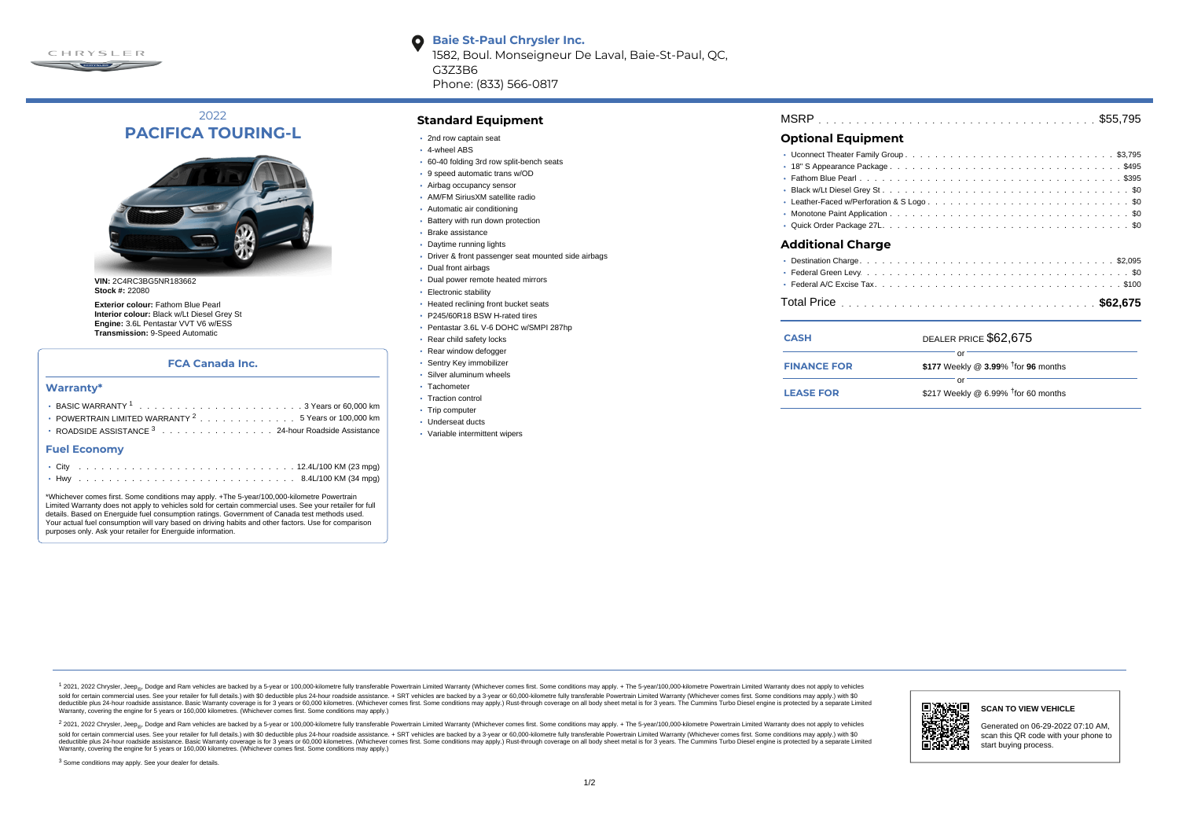

2022 **PACIFICA TOURING-L**



**Stock #:** 22080

**Exterior colour:** Fathom Blue Pearl **Interior colour:** Black w/Lt Diesel Grey St **Engine:** 3.6L Pentastar VVT V6 w/ESS **Transmission:** 9-Speed Automatic

#### **FCA Canada Inc.**

#### **Warranty\***

| $\cdot$ POWERTRAIN LIMITED WARRANTY $^{2}$ , , , , , , , , , , , , , , 5 Years or 100,000 km |
|----------------------------------------------------------------------------------------------|
|                                                                                              |
| <b>Fuel Economy</b>                                                                          |
|                                                                                              |

|  |  |  |  |  |  |  |  |  |  |  |  |  |  |  | ○ City -------------------------------- 12.4L/100 KM (23 mpg) |
|--|--|--|--|--|--|--|--|--|--|--|--|--|--|--|---------------------------------------------------------------|
|  |  |  |  |  |  |  |  |  |  |  |  |  |  |  |                                                               |

\*Whichever comes first. Some conditions may apply. +The 5-year/100,000-kilometre Powertrain Limited Warranty does not apply to vehicles sold for certain commercial uses. See your retailer for full details. Based on Energuide fuel consumption ratings. Government of Canada test methods used. Your actual fuel consumption will vary based on driving habits and other factors. Use for comparison purposes only. Ask your retailer for Energuide information.

**Standard Equipment**

- 2nd row captain seat
- 4-wheel ABS

G3Z3B6

 $\bullet$ 

60-40 folding 3rd row split-bench seats

Phone: (833) 566-0817

**Baie St-Paul Chrysler Inc.**

1582, Boul. Monseigneur De Laval, Baie-St-Paul, QC,

- 9 speed automatic trans w/OD
- Airbag occupancy sensor
- AM/FM SiriusXM satellite radio
- Automatic air conditioning
- Battery with run down protection
- Brake assistance
- Daytime running lights
- Driver & front passenger seat mounted side airbags
- Dual front airbags
- Dual power remote heated mirrors
- Electronic stability
- Heated reclining front bucket seats
- P245/60R18 BSW H-rated tires
- Pentastar 3.6L V-6 DOHC w/SMPI 287hp
- Rear child safety locks
- Rear window defogger
- Sentry Key immobilizer
- Silver aluminum wheels · Tachometer
- Traction control
- Trip computer
- Underseat ducts
- Variable intermittent wipers

| <b>MSRP</b> |  |  |  |  |  |  |  |  |  |
|-------------|--|--|--|--|--|--|--|--|--|
|-------------|--|--|--|--|--|--|--|--|--|

## **Optional Equipment**

| <b>Additional Charge</b>                                                                                                                                                                                                             |
|--------------------------------------------------------------------------------------------------------------------------------------------------------------------------------------------------------------------------------------|
| • Destination Charge <b>Contract Contract Contract Contract Contract Contract Contract Contract Contract Contract Contract Contract Contract Contract Contract Contract Contract Contract Contract Contract Contract Contract Co</b> |

| <b>CASH</b>        | DEALER PRICE \$62.675                              |  |
|--------------------|----------------------------------------------------|--|
| <b>FINANCE FOR</b> | \$177 Weekly @ $3.99\%$ <sup>†</sup> for 96 months |  |
| <b>LEASE FOR</b>   | \$217 Weekly @ $6.99\%$ <sup>†</sup> for 60 months |  |

1 2021, 2022 Chrysler, Jeep.... Dodge and Ram vehicles are backed by a 5-year or 100,000-kilometre fully transferable Powertrain Limited Warranty (Whichever comes first. Some conditions may apply. + The 5-year/100,000-kilo sold for certain commercial uses. See your retailer for full details.) with \$0 deductible plus 24-hour roadside assistance. + SRT vehicles are backed by a 3-year or 60.000-kilometre fully transferable Powertrain Limited Wa detuctible plus 24-hour roadside assistance. Basic Warranty coverage is for 3 years or 60,000 kilometres. Whichever comes first. Some conditions may apply.) Rust-through coverage on all body sheet metals for 3 years. The C Warranty, covering the engine for 5 years or 160,000 kilometres. (Whichever comes first. Some conditions may apply.)

<sup>2</sup> 2021, 2022 Chrysler, Jeep<sub>®</sub>, Dodge and Ram vehicles are backed by a 5-year or 100,000-kilometre fully transferable Powertrain Limited Warranty (Whichever comes first. Some conditions may apply. + The 5-year/100,000-ki sold for certain commercial uses. See your retailer for full details.) with \$0 deductible plus 24-hour roadside assistance. + SRT vehicles are backed by a 3-year or 60.000-kilometre fully transferable Powertrain Limited Wa deductible plus 24-hour roadside assistance. Basic Warranty coverage is for 3 years or 60,000 kilometres. (Whichever comes first. Some conditions may apply.) Rust-through coverage on all body sheet metal is for 3 years. Th



### **SCAN TO VIEW VEHICLE**

Generated on 06-29-2022 07:10 AM, scan this QR code with your phone to start buying process.

<sup>3</sup> Some conditions may apply. See your dealer for details.